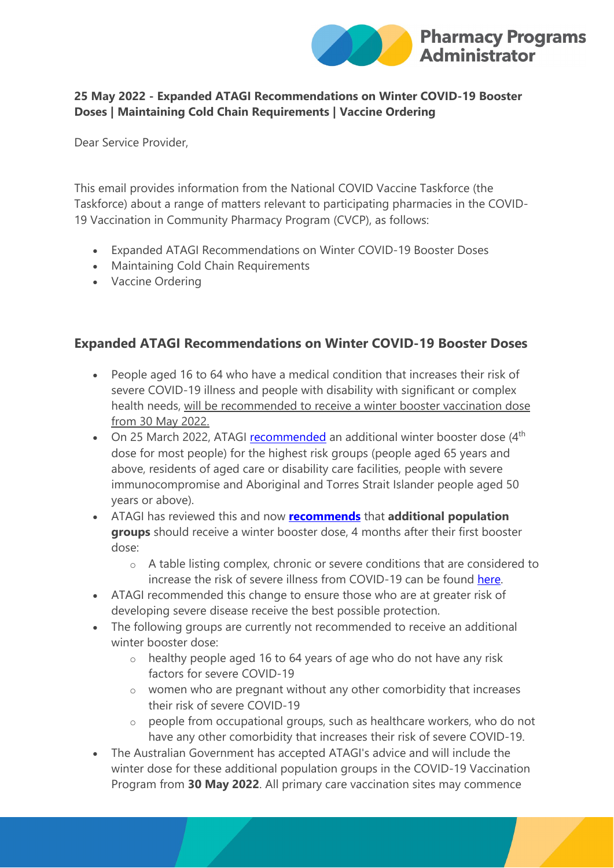

#### **25 May 2022 - Expanded ATAGI Recommendations on Winter COVID-19 Booster Doses | Maintaining Cold Chain Requirements | Vaccine Ordering**

Dear Service Provider,

This email provides information from the National COVID Vaccine Taskforce (the Taskforce) about a range of matters relevant to participating pharmacies in the COVID-19 Vaccination in Community Pharmacy Program (CVCP), as follows:

- Expanded ATAGI Recommendations on Winter COVID-19 Booster Doses
- Maintaining Cold Chain Requirements
- Vaccine Ordering

### **Expanded ATAGI Recommendations on Winter COVID-19 Booster Doses**

- People aged 16 to 64 who have a medical condition that increases their risk of severe COVID-19 illness and people with disability with significant or complex health needs, will be recommended to receive a winter booster vaccination dose from 30 May 2022.
- On 25 March 2022, ATAGI [recommended](https://protect-au.mimecast.com/s/EKWXCE8wkxU6L3zTw69VJ?domain=health.gov.au) an additional winter booster dose (4<sup>th</sup> dose for most people) for the highest risk groups (people aged 65 years and above, residents of aged care or disability care facilities, people with severe immunocompromise and Aboriginal and Torres Strait Islander people aged 50 years or above).
- ATAGI has reviewed this and now **[recommends](https://protect-au.mimecast.com/s/Jhd0CGv0m8SLk1PipzBsH?domain=health.gov.au)** that **additional population groups** should receive a winter booster dose, 4 months after their first booster dose:
	- o A table listing complex, chronic or severe conditions that are considered to increase the risk of severe illness from COVID-19 can be found [here.](https://protect-au.mimecast.com/s/wPaJCJyBpQtQZq2FLnnGz?domain=ppaonline.com.au)
- ATAGI recommended this change to ensure those who are at greater risk of developing severe disease receive the best possible protection.
- The following groups are currently not recommended to receive an additional winter booster dose:
	- o healthy people aged 16 to 64 years of age who do not have any risk factors for severe COVID-19
	- o women who are pregnant without any other comorbidity that increases their risk of severe COVID-19
	- o people from occupational groups, such as healthcare workers, who do not have any other comorbidity that increases their risk of severe COVID-19.
- The Australian Government has accepted ATAGI's advice and will include the winter dose for these additional population groups in the COVID-19 Vaccination Program from **30 May 2022**. All primary care vaccination sites may commence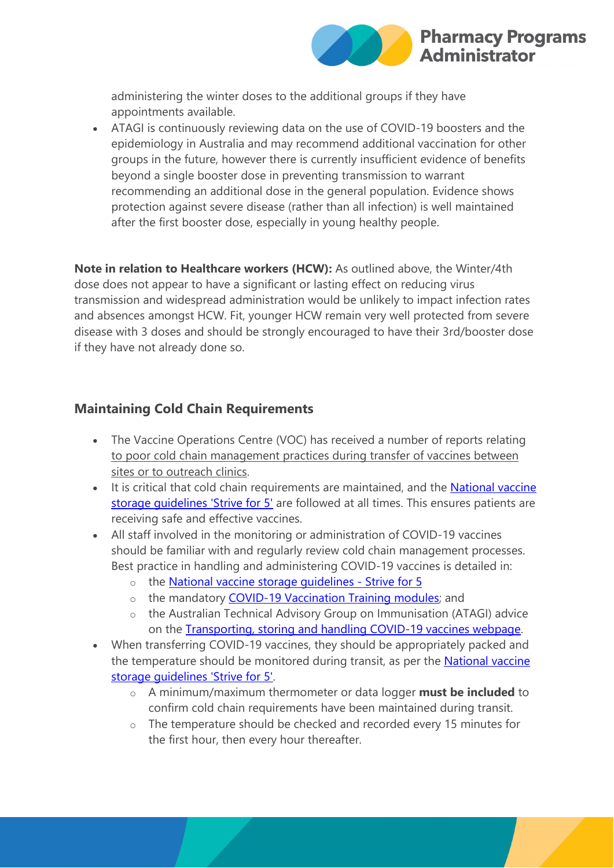

administering the winter doses to the additional groups if they have appointments available.

• ATAGI is continuously reviewing data on the use of COVID-19 boosters and the epidemiology in Australia and may recommend additional vaccination for other groups in the future, however there is currently insufficient evidence of benefits beyond a single booster dose in preventing transmission to warrant recommending an additional dose in the general population. Evidence shows protection against severe disease (rather than all infection) is well maintained after the first booster dose, especially in young healthy people.

**Note in relation to Healthcare workers (HCW):** As outlined above, the Winter/4th dose does not appear to have a significant or lasting effect on reducing virus transmission and widespread administration would be unlikely to impact infection rates and absences amongst HCW. Fit, younger HCW remain very well protected from severe disease with 3 doses and should be strongly encouraged to have their 3rd/booster dose if they have not already done so.

## **Maintaining Cold Chain Requirements**

- The Vaccine Operations Centre (VOC) has received a number of reports relating to poor cold chain management practices during transfer of vaccines between sites or to outreach clinics.
- It is critical that cold chain requirements are maintained, and the National vaccine [storage guidelines 'Strive for 5'](https://protect-au.mimecast.com/s/1XfDCK1DqQurO2YupMBpS?domain=health.gov.au) are followed at all times. This ensures patients are receiving safe and effective vaccines.
- All staff involved in the monitoring or administration of COVID-19 vaccines should be familiar with and regularly review cold chain management processes. Best practice in handling and administering COVID-19 vaccines is detailed in:
	- o the [National vaccine storage guidelines -](https://protect-au.mimecast.com/s/1XfDCK1DqQurO2YupMBpS?domain=health.gov.au) Strive for 5
	- o the mandatory [COVID-19 Vaccination Training modules;](https://protect-au.mimecast.com/s/xanFCL7ErJfYKRgTgIDRs?domain=health.gov.au) and
	- o the Australian Technical Advisory Group on Immunisation (ATAGI) advice on the [Transporting, storing and handling COVID-19 vaccines webpage.](https://protect-au.mimecast.com/s/DrWgCMwGv1U6XqLTGCKot?domain=health.gov.au)
- When transferring COVID-19 vaccines, they should be appropriately packed and the temperature should be monitored during transit, as per the [National vaccine](https://protect-au.mimecast.com/s/1XfDCK1DqQurO2YupMBpS?domain=health.gov.au)  [storage guidelines 'Strive for 5'.](https://protect-au.mimecast.com/s/1XfDCK1DqQurO2YupMBpS?domain=health.gov.au)
	- o A minimum/maximum thermometer or data logger **must be included** to confirm cold chain requirements have been maintained during transit.
	- o The temperature should be checked and recorded every 15 minutes for the first hour, then every hour thereafter.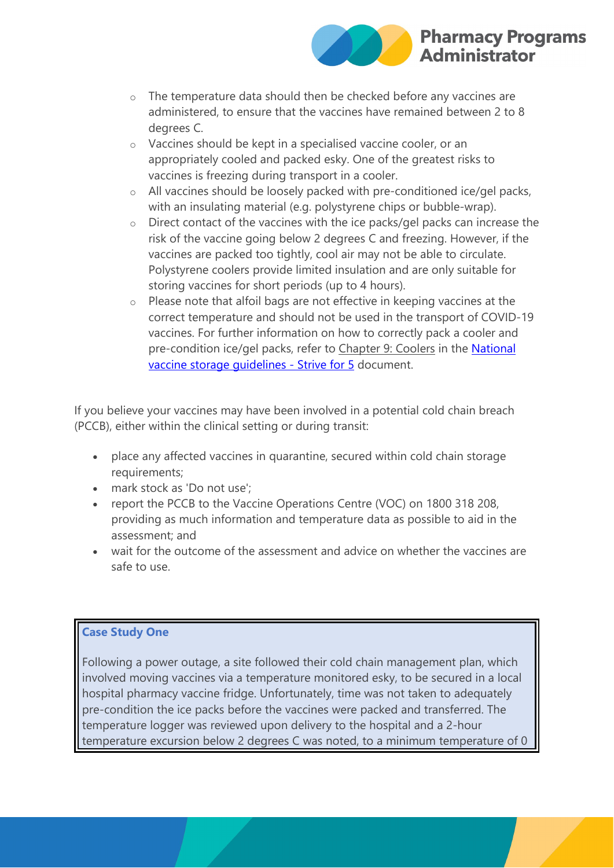

- o The temperature data should then be checked before any vaccines are administered, to ensure that the vaccines have remained between 2 to 8 degrees C.
- o Vaccines should be kept in a specialised vaccine cooler, or an appropriately cooled and packed esky. One of the greatest risks to vaccines is freezing during transport in a cooler.
- o All vaccines should be loosely packed with pre-conditioned ice/gel packs, with an insulating material (e.g. polystyrene chips or bubble-wrap).
- o Direct contact of the vaccines with the ice packs/gel packs can increase the risk of the vaccine going below 2 degrees C and freezing. However, if the vaccines are packed too tightly, cool air may not be able to circulate. Polystyrene coolers provide limited insulation and are only suitable for storing vaccines for short periods (up to 4 hours).
- o Please note that alfoil bags are not effective in keeping vaccines at the correct temperature and should not be used in the transport of COVID-19 vaccines. For further information on how to correctly pack a cooler and pre-condition ice/gel packs, refer to Chapter 9: Coolers in the [National](https://protect-au.mimecast.com/s/1XfDCK1DqQurO2YupMBpS?domain=health.gov.au)  [vaccine storage guidelines -](https://protect-au.mimecast.com/s/1XfDCK1DqQurO2YupMBpS?domain=health.gov.au) Strive for 5 document.

If you believe your vaccines may have been involved in a potential cold chain breach (PCCB), either within the clinical setting or during transit:

- place any affected vaccines in quarantine, secured within cold chain storage requirements;
- mark stock as 'Do not use';
- report the PCCB to the Vaccine Operations Centre (VOC) on 1800 318 208, providing as much information and temperature data as possible to aid in the assessment; and
- wait for the outcome of the assessment and advice on whether the vaccines are safe to use.

#### **Case Study One**

Following a power outage, a site followed their cold chain management plan, which involved moving vaccines via a temperature monitored esky, to be secured in a local hospital pharmacy vaccine fridge. Unfortunately, time was not taken to adequately pre-condition the ice packs before the vaccines were packed and transferred. The temperature logger was reviewed upon delivery to the hospital and a 2-hour temperature excursion below 2 degrees C was noted, to a minimum temperature of 0